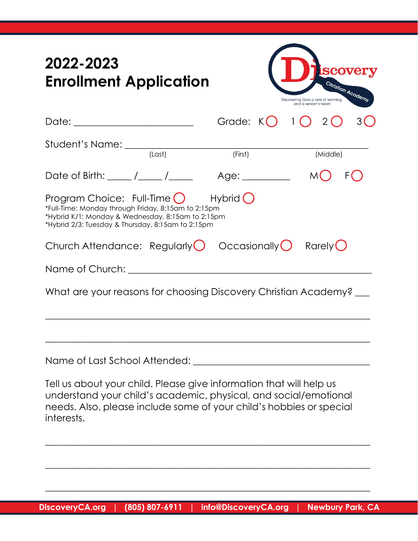| 2022-2023<br><b>Enrollment Application</b>                                                                                                                                                                                                                    | <b>SCOVETY</b><br>Christian Academy<br>Discovering God, a love of learning,<br>and a servant's heart. |
|---------------------------------------------------------------------------------------------------------------------------------------------------------------------------------------------------------------------------------------------------------------|-------------------------------------------------------------------------------------------------------|
| Date: _________________________                                                                                                                                                                                                                               | Grade: $K()$ 1 $()$ 2 $()$                                                                            |
|                                                                                                                                                                                                                                                               | (First)<br>(Middle)                                                                                   |
| Date of Birth: $\frac{\sqrt{2}}{2}$                                                                                                                                                                                                                           | Age: _________                                                                                        |
| Program Choice: Full-Time $\bigcirc$ Hybrid $\bigcirc$<br>*Full-Time: Monday through Friday, 8:15am to 2:15pm<br>*Hybrid K/1: Monday & Wednesday, 8:15am to 2:15pm<br>*Hybrid 2/3: Tuesday & Thursday, 8:15am to 2:15pm                                       |                                                                                                       |
| Church Attendance: Regularly $\bigcirc$ Occasionally $\bigcirc$ Rarely $\bigcirc$                                                                                                                                                                             |                                                                                                       |
|                                                                                                                                                                                                                                                               |                                                                                                       |
| What are your reasons for choosing Discovery Christian Academy?                                                                                                                                                                                               |                                                                                                       |
| Name of Last School Attended:<br>Tell us about your child. Please give information that will help us<br>understand your child's academic, physical, and social/emotional<br>needs. Also, please include some of your child's hobbies or special<br>interests. |                                                                                                       |
|                                                                                                                                                                                                                                                               |                                                                                                       |

 $\_$  , and the set of the set of the set of the set of the set of the set of the set of the set of the set of the set of the set of the set of the set of the set of the set of the set of the set of the set of the set of th

 $\_$  , and the set of the set of the set of the set of the set of the set of the set of the set of the set of the set of the set of the set of the set of the set of the set of the set of the set of the set of the set of th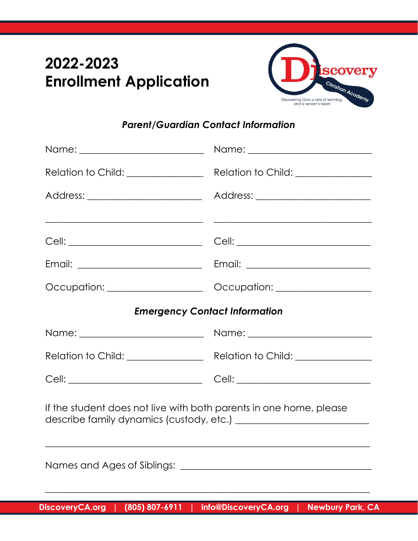## **2022-2023 Enrollment Application**



## *Parent/Guardian Contact Information*

| Relation to Child: _______________<br>Relation to Child: _______________                                                                                                             |  |  |  |
|--------------------------------------------------------------------------------------------------------------------------------------------------------------------------------------|--|--|--|
| Address: _________________________                                                                                                                                                   |  |  |  |
| <u> 1989 - Andrea Stein, Amerikaansk politiker († 1908)</u><br><u> 1989 - Johann John Stein, mars an deutscher Stein und der Stein und der Stein und der Stein und der Stein und</u> |  |  |  |
|                                                                                                                                                                                      |  |  |  |
|                                                                                                                                                                                      |  |  |  |
| Occupation: __________________<br>Occupation: _________________                                                                                                                      |  |  |  |
| <b>Emergency Contact Information</b>                                                                                                                                                 |  |  |  |
|                                                                                                                                                                                      |  |  |  |
|                                                                                                                                                                                      |  |  |  |
|                                                                                                                                                                                      |  |  |  |
| If the student does not live with both parents in one home, please                                                                                                                   |  |  |  |
|                                                                                                                                                                                      |  |  |  |
|                                                                                                                                                                                      |  |  |  |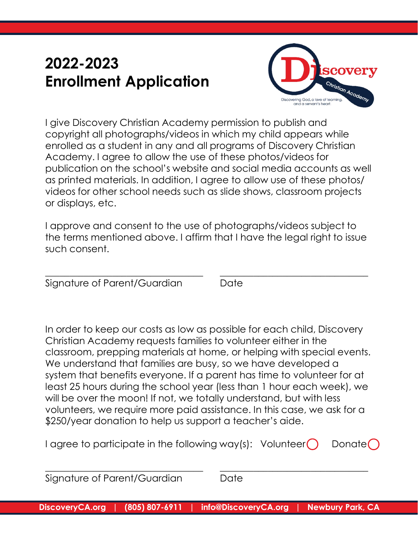## **2022-2023 Enrollment Application**



I give Discovery Christian Academy permission to publish and copyright all photographs/videos in which my child appears while enrolled as a student in any and all programs of Discovery Christian Academy. I agree to allow the use of these photos/videos for publication on the school's website and social media accounts as well as printed materials. In addition, I agree to allow use of these photos/ videos for other school needs such as slide shows, classroom projects or displays, etc.

I approve and consent to the use of photographs/videos subject to the terms mentioned above. I affirm that I have the legal right to issue such consent.

\_\_\_\_\_\_\_\_\_\_\_\_\_\_\_\_\_\_\_\_\_\_\_\_\_\_\_\_\_\_\_\_\_ \_\_\_\_\_\_\_\_\_\_\_\_\_\_\_\_\_\_\_\_\_\_\_\_\_\_\_\_\_\_\_

Signature of Parent/Guardian Date

In order to keep our costs as low as possible for each child, Discovery Christian Academy requests families to volunteer either in the classroom, prepping materials at home, or helping with special events. We understand that families are busy, so we have developed a system that benefits everyone. If a parent has time to volunteer for at least 25 hours during the school year (less than 1 hour each week), we will be over the moon! If not, we totally understand, but with less volunteers, we require more paid assistance. In this case, we ask for a \$250/year donation to help us support a teacher's aide.

| I agree to participate in the following way(s): Volunteer $\bigcirc$ Donate $\bigcirc$ |  |  |
|----------------------------------------------------------------------------------------|--|--|
|----------------------------------------------------------------------------------------|--|--|

| Signature of Parent/Guardian | Date |  |
|------------------------------|------|--|